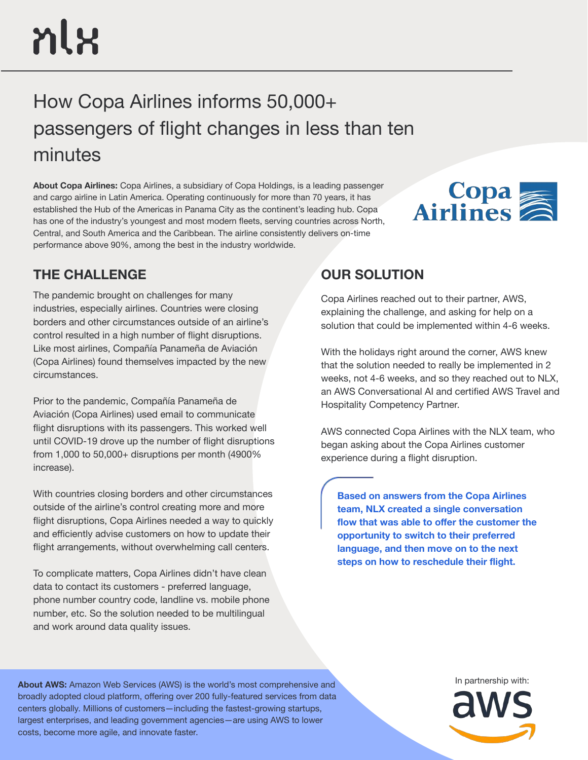# nlx

# How Copa Airlines informs 50,000+ passengers of flight changes in less than ten minutes

**About Copa Airlines:** Copa Airlines, a subsidiary of Copa Holdings, is a leading passenger and cargo airline in Latin America. Operating continuously for more than 70 years, it has established the Hub of the Americas in Panama City as the continent's leading hub. Copa has one of the industry's youngest and most modern fleets, serving countries across North, Central, and South America and the Caribbean. The airline consistently delivers on-time performance above 90%, among the best in the industry worldwide.



# **THE CHALLENGE OUR SOLUTION**

The pandemic brought on challenges for many industries, especially airlines. Countries were closing borders and other circumstances outside of an airline's control resulted in a high number of flight disruptions. Like most airlines, Compañía Panameña de Aviación (Copa Airlines) found themselves impacted by the new circumstances.

Prior to the pandemic, Compañía Panameña de Aviación (Copa Airlines) used email to communicate flight disruptions with its passengers. This worked well until COVID-19 drove up the number of flight disruptions from 1,000 to 50,000+ disruptions per month (4900% increase).

With countries closing borders and other circumstances outside of the airline's control creating more and more flight disruptions, Copa Airlines needed a way to quickly and efficiently advise customers on how to update their flight arrangements, without overwhelming call centers.

To complicate matters, Copa Airlines didn't have clean data to contact its customers - preferred language, phone number country code, landline vs. mobile phone number, etc. So the solution needed to be multilingual and work around data quality issues.

Copa Airlines reached out to their partner, AWS, explaining the challenge, and asking for help on a solution that could be implemented within 4-6 weeks.

With the holidays right around the corner, AWS knew that the solution needed to really be implemented in 2 weeks, not 4-6 weeks, and so they reached out to NLX, an AWS Conversational AI and certified AWS Travel and Hospitality Competency Partner.

AWS connected Copa Airlines with the NLX team, who began asking about the Copa Airlines customer experience during a flight disruption.

**Based on answers from the Copa Airlines team, NLX created a single conversation flow that was able to offer the customer the opportunity to switch to their preferred language, and then move on to the next steps on how to reschedule their flight.** 

About AWS: Amazon Web Services (AWS) is the world's most comprehensive and **Albout AWS:** Amazon Web Services (AWS) is the world's most comprehensive and broadly adopted cloud platform, offering over 200 fully-featured services from data centers globally. Millions of customers—including the fastest-growing startups, largest enterprises, and leading government agencies—are using AWS to lower costs, become more agile, and innovate faster.